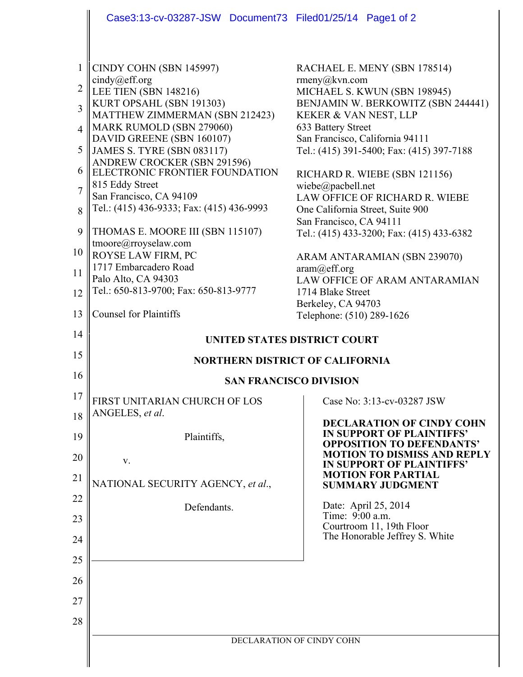|                | Case3:13-cv-03287-JSW Document73 Filed01/25/14 Page1 of 2     |                                                                 |
|----------------|---------------------------------------------------------------|-----------------------------------------------------------------|
|                |                                                               |                                                                 |
| 1              | CINDY COHN (SBN 145997)<br>cindy@eff.org                      | RACHAEL E. MENY (SBN 178514)<br>rmeny@kvn.com                   |
| 2              | LEE TIEN (SBN 148216)                                         | MICHAEL S. KWUN (SBN 198945)                                    |
| 3              | KURT OPSAHL (SBN 191303)<br>MATTHEW ZIMMERMAN (SBN 212423)    | BENJAMIN W. BERKOWITZ (SBN 244441)<br>KEKER & VAN NEST, LLP     |
| $\overline{4}$ | MARK RUMOLD (SBN 279060)<br>DAVID GREENE (SBN 160107)         | 633 Battery Street<br>San Francisco, California 94111           |
| 5              | <b>JAMES S. TYRE (SBN 083117)</b>                             | Tel.: (415) 391-5400; Fax: (415) 397-7188                       |
| 6              | ANDREW CROCKER (SBN 291596)<br>ELECTRONIC FRONTIER FOUNDATION | RICHARD R. WIEBE (SBN 121156)                                   |
| 7              | 815 Eddy Street<br>San Francisco, CA 94109                    | wiebe@pacbell.net<br>LAW OFFICE OF RICHARD R. WIEBE             |
| 8              | Tel.: (415) 436-9333; Fax: (415) 436-9993                     | One California Street, Suite 900<br>San Francisco, CA 94111     |
| 9              | THOMAS E. MOORE III (SBN 115107)                              | Tel.: (415) 433-3200; Fax: (415) 433-6382                       |
| 10             | tmoore@rroyselaw.com<br>ROYSE LAW FIRM, PC                    | ARAM ANTARAMIAN (SBN 239070)                                    |
| 11             | 1717 Embarcadero Road<br>Palo Alto, CA 94303                  | aram@eff.org<br><b>LAW OFFICE OF ARAM ANTARAMIAN</b>            |
| 12             | Tel.: 650-813-9700; Fax: 650-813-9777                         | 1714 Blake Street                                               |
| 13             | <b>Counsel for Plaintiffs</b>                                 | Berkeley, CA 94703<br>Telephone: (510) 289-1626                 |
| 14             |                                                               | <b>UNITED STATES DISTRICT COURT</b>                             |
| 15             | <b>NORTHERN DISTRICT OF CALIFORNIA</b>                        |                                                                 |
| 16             | <b>SAN FRANCISCO DIVISION</b>                                 |                                                                 |
| 17             | FIRST UNITARIAN CHURCH OF LOS                                 | Case No: 3:13-cv-03287 JSW                                      |
| 18             | ANGELES, et al.                                               | <b>DECLARATION OF CINDY COHN</b>                                |
| 19             | Plaintiffs,                                                   | IN SUPPORT OF PLAINTIFFS'<br><b>OPPOSITION TO DEFENDANTS'</b>   |
| 20             | V.                                                            | <b>MOTION TO DISMISS AND REPLY</b><br>IN SUPPORT OF PLAINTIFFS' |
| 21             | NATIONAL SECURITY AGENCY, et al.,                             | <b>MOTION FOR PARTIAL</b><br><b>SUMMARY JUDGMENT</b>            |
| 22             | Defendants.                                                   | Date: April 25, 2014                                            |
| 23             |                                                               | Time: 9:00 a.m.<br>Courtroom 11, 19th Floor                     |
| 24             |                                                               | The Honorable Jeffrey S. White                                  |
| 25             |                                                               |                                                                 |
| 26             |                                                               |                                                                 |
| 27             |                                                               |                                                                 |
| 28             |                                                               |                                                                 |
|                | DECLARATION OF CINDY COHN                                     |                                                                 |
|                |                                                               |                                                                 |